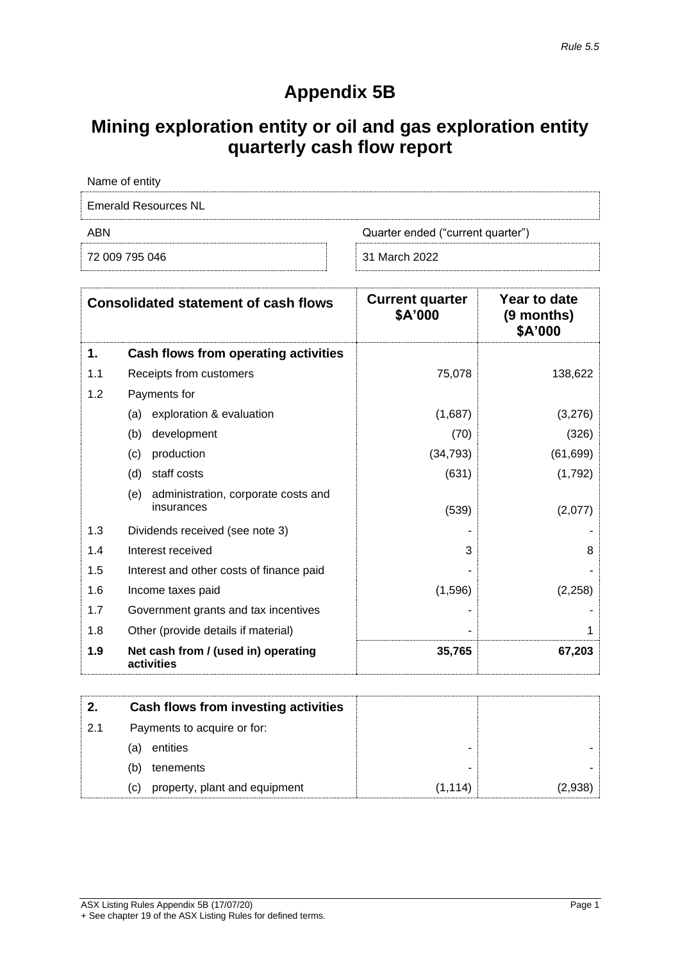## **Appendix 5B**

## **Mining exploration entity or oil and gas exploration entity quarterly cash flow report**

| Name of entity       |                                   |
|----------------------|-----------------------------------|
| Emerald Resources NL |                                   |
| ABN                  | Quarter ended ("current quarter") |
| 72 009 795 046       | 31 March 2022                     |

| <b>Consolidated statement of cash flows</b> |                                                          | <b>Current quarter</b><br>\$A'000 | Year to date<br>(9 months)<br>\$A'000 |
|---------------------------------------------|----------------------------------------------------------|-----------------------------------|---------------------------------------|
| 1.                                          | Cash flows from operating activities                     |                                   |                                       |
| 1.1                                         | Receipts from customers                                  | 75,078                            | 138,622                               |
| 1.2                                         | Payments for                                             |                                   |                                       |
|                                             | exploration & evaluation<br>(a)                          | (1,687)                           | (3,276)                               |
|                                             | (b)<br>development                                       | (70)                              | (326)                                 |
|                                             | production<br>(c)                                        | (34, 793)                         | (61, 699)                             |
|                                             | staff costs<br>(d)                                       | (631)                             | (1,792)                               |
|                                             | (e)<br>administration, corporate costs and<br>insurances | (539)                             | (2,077)                               |
| 1.3                                         | Dividends received (see note 3)                          |                                   |                                       |
| 1.4                                         | Interest received                                        | 3                                 | 8                                     |
| 1.5                                         | Interest and other costs of finance paid                 |                                   |                                       |
| 1.6                                         | Income taxes paid                                        | (1,596)                           | (2,258)                               |
| 1.7                                         | Government grants and tax incentives                     |                                   |                                       |
| 1.8                                         | Other (provide details if material)                      |                                   |                                       |
| 1.9                                         | Net cash from / (used in) operating<br>activities        | 35,765                            | 67,203                                |

|     |     | Cash flows from investing activities |         |  |
|-----|-----|--------------------------------------|---------|--|
| 2.1 |     | Payments to acquire or for:          |         |  |
|     | (a) | entities                             | -       |  |
|     | (b) | tenements                            | -       |  |
|     | (C) | property, plant and equipment        | (1.114) |  |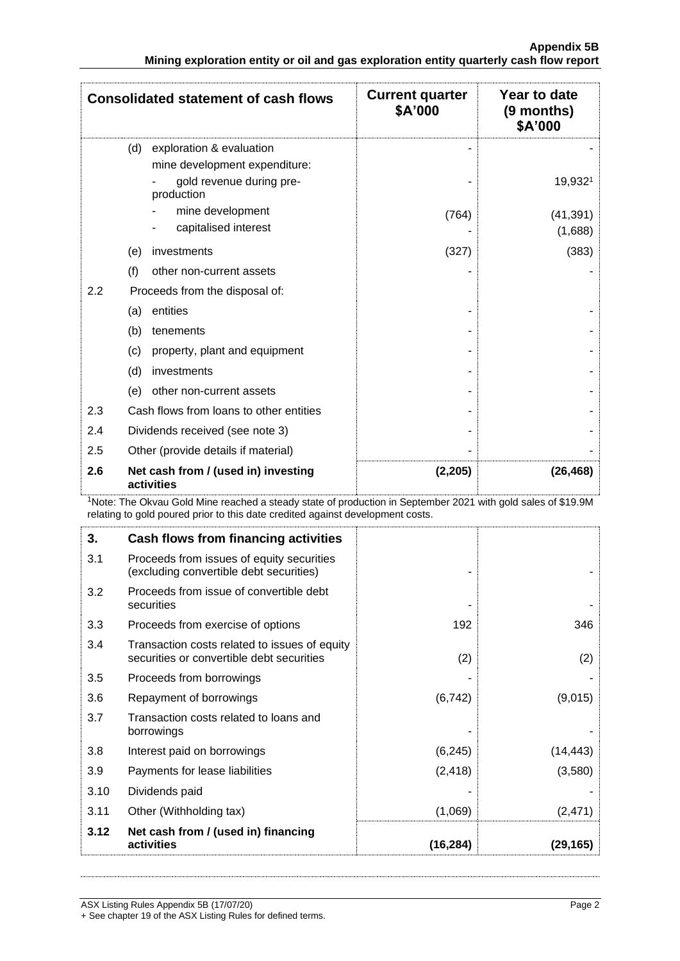| <b>Consolidated statement of cash flows</b> |                                                                                                            | <b>Current quarter</b><br>\$A'000 | Year to date<br>(9 months)<br>\$A'000 |
|---------------------------------------------|------------------------------------------------------------------------------------------------------------|-----------------------------------|---------------------------------------|
|                                             | exploration & evaluation<br>(d)<br>mine development expenditure:<br>gold revenue during pre-<br>production |                                   | 19,9321                               |
|                                             | mine development<br>capitalised interest                                                                   | (764)                             | (41, 391)<br>(1,688)                  |
|                                             | (e)<br>investments                                                                                         | (327)                             | (383)                                 |
| (f)                                         | other non-current assets                                                                                   |                                   |                                       |
| 2.2                                         | Proceeds from the disposal of:                                                                             |                                   |                                       |
|                                             | entities<br>(a)                                                                                            |                                   |                                       |
|                                             | (b)<br>tenements                                                                                           |                                   |                                       |
|                                             | (c)<br>property, plant and equipment                                                                       |                                   |                                       |
|                                             | (d)<br>investments                                                                                         |                                   |                                       |
|                                             | other non-current assets<br>(e)                                                                            |                                   |                                       |
| 2.3                                         | Cash flows from loans to other entities                                                                    |                                   |                                       |
| 2.4                                         | Dividends received (see note 3)                                                                            |                                   |                                       |
| 2.5                                         | Other (provide details if material)                                                                        |                                   |                                       |
| 2.6                                         | Net cash from / (used in) investing<br>activities                                                          | (2,205)                           | (26, 468)                             |

<sup>1</sup>Note: The Okvau Gold Mine reached a steady state of production in September 2021 with gold sales of \$19.9M relating to gold poured prior to this date credited against development costs.

| 3.   | Cash flows from financing activities                                                       |           |           |
|------|--------------------------------------------------------------------------------------------|-----------|-----------|
| 3.1  | Proceeds from issues of equity securities<br>(excluding convertible debt securities)       |           |           |
| 3.2  | Proceeds from issue of convertible debt<br>securities                                      |           |           |
| 3.3  | Proceeds from exercise of options                                                          | 192       | 346       |
| 3.4  | Transaction costs related to issues of equity<br>securities or convertible debt securities | (2)       | (2)       |
| 3.5  | Proceeds from borrowings                                                                   |           |           |
| 3.6  | Repayment of borrowings                                                                    | (6, 742)  | (9,015)   |
| 3.7  | Transaction costs related to loans and<br>borrowings                                       |           |           |
| 3.8  | Interest paid on borrowings                                                                | (6, 245)  | (14, 443) |
| 3.9  | Payments for lease liabilities                                                             | (2, 418)  | (3,580)   |
| 3.10 | Dividends paid                                                                             |           |           |
| 3.11 | Other (Withholding tax)                                                                    | (1,069)   | (2,471)   |
| 3.12 | Net cash from / (used in) financing<br>activities                                          | (16, 284) | (29, 165) |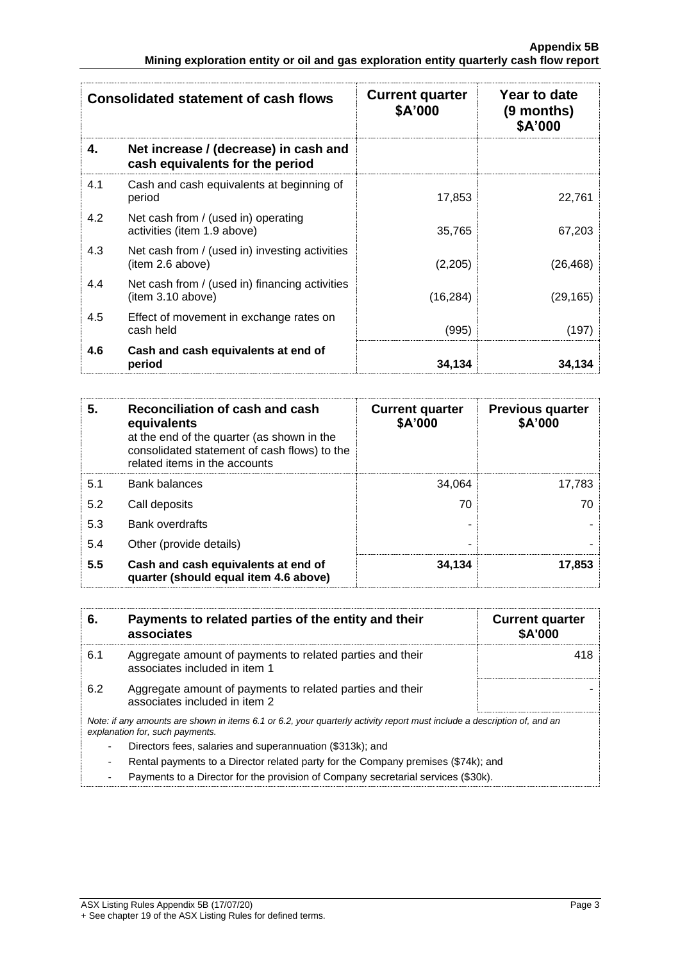| <b>Consolidated statement of cash flows</b> |                                                                          | <b>Current quarter</b><br>\$A'000 | Year to date<br>(9 months)<br>\$A'000 |
|---------------------------------------------|--------------------------------------------------------------------------|-----------------------------------|---------------------------------------|
| 4.                                          | Net increase / (decrease) in cash and<br>cash equivalents for the period |                                   |                                       |
| 4.1                                         | Cash and cash equivalents at beginning of<br>period                      | 17,853                            | 22,761                                |
| 4.2                                         | Net cash from / (used in) operating<br>activities (item 1.9 above)       | 35,765                            | 67,203                                |
| 4.3                                         | Net cash from / (used in) investing activities<br>(item 2.6 above)       | (2,205)                           | (26, 468)                             |
| 4.4                                         | Net cash from / (used in) financing activities<br>(item 3.10 above)      | (16, 284)                         | (29, 165)                             |
| 4.5                                         | Effect of movement in exchange rates on<br>cash held                     | (995)                             | (197)                                 |
| 4.6                                         | Cash and cash equivalents at end of<br>period                            | 34,134                            | 34,134                                |

| 5.  | Reconciliation of cash and cash<br>equivalents<br>at the end of the quarter (as shown in the<br>consolidated statement of cash flows) to the<br>related items in the accounts | <b>Current quarter</b><br>\$A'000 | <b>Previous quarter</b><br>\$A'000 |
|-----|-------------------------------------------------------------------------------------------------------------------------------------------------------------------------------|-----------------------------------|------------------------------------|
| 5.1 | <b>Bank balances</b>                                                                                                                                                          | 34,064                            | 17,783                             |
| 5.2 | Call deposits                                                                                                                                                                 | 70                                | 70                                 |
| 5.3 | <b>Bank overdrafts</b>                                                                                                                                                        |                                   |                                    |
| 5.4 | Other (provide details)                                                                                                                                                       | ۰                                 |                                    |
| 5.5 | Cash and cash equivalents at end of<br>quarter (should equal item 4.6 above)                                                                                                  | 34,134                            | 17,853                             |

| 6.  | Payments to related parties of the entity and their<br>associates                                                                                           | <b>Current quarter</b><br><b>\$A'000</b> |
|-----|-------------------------------------------------------------------------------------------------------------------------------------------------------------|------------------------------------------|
| 6.1 | Aggregate amount of payments to related parties and their<br>associates included in item 1                                                                  | 418                                      |
| 6.2 | Aggregate amount of payments to related parties and their<br>associates included in item 2                                                                  |                                          |
|     | Note: if any amounts are shown in items 6.1 or 6.2, your quarterly activity report must include a description of, and an<br>explanation for, such payments. |                                          |
|     | Directors fees, salaries and superannuation (\$313k); and                                                                                                   |                                          |
|     | Rental payments to a Director related party for the Company premises (\$74k); and                                                                           |                                          |
|     |                                                                                                                                                             |                                          |

- Payments to a Director for the provision of Company secretarial services (\$30k).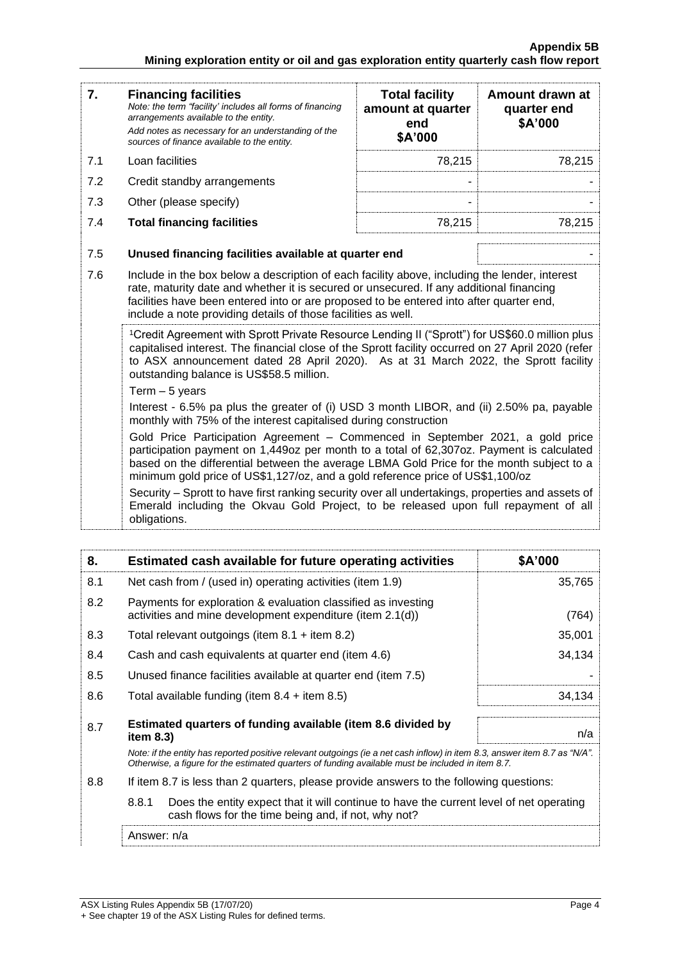| 7.  | <b>Financing facilities</b><br>Note: the term "facility' includes all forms of financing<br>arrangements available to the entity.<br>Add notes as necessary for an understanding of the<br>sources of finance available to the entity.                                                                                                                   | <b>Total facility</b><br>amount at quarter<br>end<br>\$A'000 | Amount drawn at<br>quarter end<br>\$A'000 |
|-----|----------------------------------------------------------------------------------------------------------------------------------------------------------------------------------------------------------------------------------------------------------------------------------------------------------------------------------------------------------|--------------------------------------------------------------|-------------------------------------------|
| 7.1 | Loan facilities                                                                                                                                                                                                                                                                                                                                          | 78,215                                                       | 78,215                                    |
| 7.2 | Credit standby arrangements                                                                                                                                                                                                                                                                                                                              |                                                              |                                           |
| 7.3 | Other (please specify)                                                                                                                                                                                                                                                                                                                                   |                                                              |                                           |
| 7.4 | <b>Total financing facilities</b>                                                                                                                                                                                                                                                                                                                        | 78,215                                                       | 78,215                                    |
| 7.5 | Unused financing facilities available at quarter end                                                                                                                                                                                                                                                                                                     |                                                              |                                           |
| 7.6 | Include in the box below a description of each facility above, including the lender, interest<br>rate, maturity date and whether it is secured or unsecured. If any additional financing<br>facilities have been entered into or are proposed to be entered into after quarter end,<br>include a note providing details of those facilities as well.     |                                                              |                                           |
|     | <sup>1</sup> Credit Agreement with Sprott Private Resource Lending II ("Sprott") for US\$60.0 million plus<br>capitalised interest. The financial close of the Sprott facility occurred on 27 April 2020 (refer<br>to ASX announcement dated 28 April 2020). As at 31 March 2022, the Sprott facility<br>outstanding balance is US\$58.5 million.        |                                                              |                                           |
|     | Term $-5$ years<br>Interest - 6.5% pa plus the greater of (i) USD 3 month LIBOR, and (ii) 2.50% pa, payable<br>monthly with 75% of the interest capitalised during construction                                                                                                                                                                          |                                                              |                                           |
|     | Gold Price Participation Agreement - Commenced in September 2021, a gold price<br>participation payment on 1,449oz per month to a total of 62,307oz. Payment is calculated<br>based on the differential between the average LBMA Gold Price for the month subject to a<br>minimum gold price of US\$1,127/oz, and a gold reference price of US\$1,100/oz |                                                              |                                           |
|     | Security - Sprott to have first ranking security over all undertakings, properties and assets of<br>Emerald including the Okvau Gold Project, to be released upon full repayment of all<br>obligations.                                                                                                                                                  |                                                              |                                           |

| 8.  | Estimated cash available for future operating activities                                                                                                                                                                        | \$A'000 |
|-----|---------------------------------------------------------------------------------------------------------------------------------------------------------------------------------------------------------------------------------|---------|
| 8.1 | Net cash from / (used in) operating activities (item 1.9)                                                                                                                                                                       | 35,765  |
| 8.2 | Payments for exploration & evaluation classified as investing<br>activities and mine development expenditure (item 2.1(d))                                                                                                      | (764)   |
| 8.3 | Total relevant outgoings (item $8.1$ + item $8.2$ )                                                                                                                                                                             | 35,001  |
| 8.4 | Cash and cash equivalents at quarter end (item 4.6)                                                                                                                                                                             | 34,134  |
| 8.5 | Unused finance facilities available at quarter end (item 7.5)                                                                                                                                                                   |         |
| 8.6 | Total available funding (item $8.4 +$ item $8.5$ )                                                                                                                                                                              | 34,134  |
| 8.7 | Estimated quarters of funding available (item 8.6 divided by<br>item 8.3)                                                                                                                                                       | n/a     |
|     | Note: if the entity has reported positive relevant outgoings (ie a net cash inflow) in item 8.3, answer item 8.7 as "N/A".<br>Otherwise, a figure for the estimated quarters of funding available must be included in item 8.7. |         |
| 8.8 | If item 8.7 is less than 2 quarters, please provide answers to the following questions:                                                                                                                                         |         |
|     | 8.8.1<br>Does the entity expect that it will continue to have the current level of net operating<br>cash flows for the time being and, if not, why not?                                                                         |         |
|     | Answer: n/a                                                                                                                                                                                                                     |         |